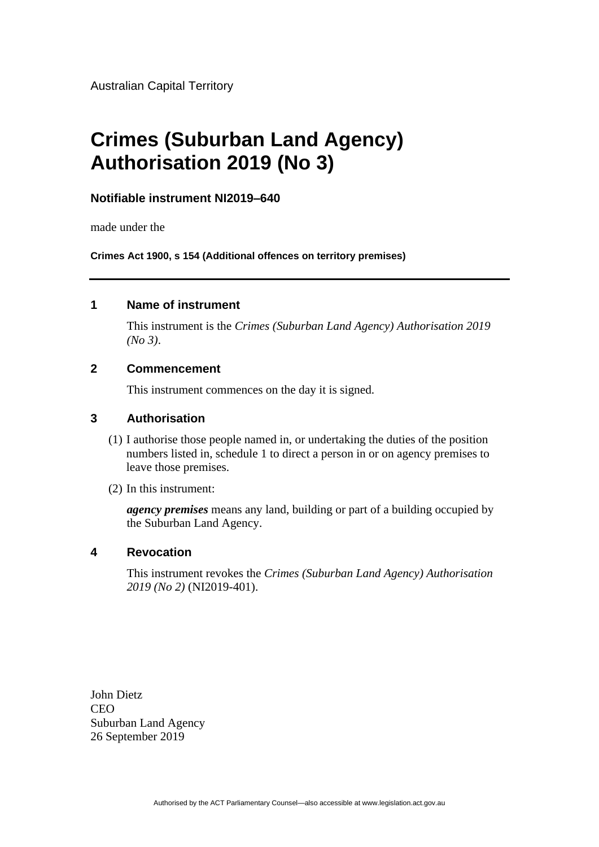Australian Capital Territory

# **Crimes (Suburban Land Agency) Authorisation 2019 (No 3)**

#### **Notifiable instrument NI2019–640**

made under the

**Crimes Act 1900, s 154 (Additional offences on territory premises)**

#### **1 Name of instrument**

This instrument is the *Crimes (Suburban Land Agency) Authorisation 2019 (No 3)*.

#### **2 Commencement**

This instrument commences on the day it is signed.

#### **3 Authorisation**

- (1) I authorise those people named in, or undertaking the duties of the position numbers listed in, schedule 1 to direct a person in or on agency premises to leave those premises.
- (2) In this instrument:

*agency premises* means any land, building or part of a building occupied by the Suburban Land Agency.

#### **4 Revocation**

This instrument revokes the *Crimes (Suburban Land Agency) Authorisation 2019 (No 2)* (NI2019-401).

John Dietz **CEO** Suburban Land Agency 26 September 2019